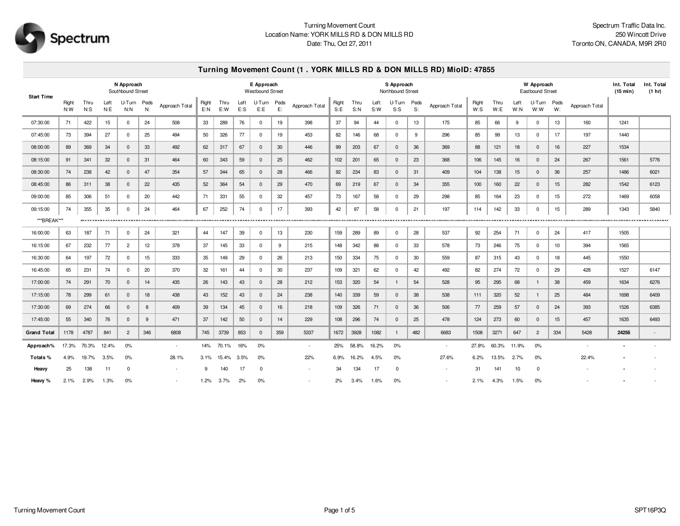

## Turning Movement Count Location Name: YORK MILLS RD & DON MILLS RD Date: Thu, Oct 27, 2011

## **Turning Movement Count (1 . YORK MILLS RD & DON MILLS RD) MioID: 47855**

| N Approach<br>Southbound Street<br><b>Start Time</b> |              |                |              |                     |     |                          |              |             |                | E Approach<br>Westbound Street |            |                |               |             |             | S Approach<br>Northbound Street |            |                |                 |              | Int. Total<br>(15 min) | Int. Total<br>(1 hr) |                  |                |       |      |
|------------------------------------------------------|--------------|----------------|--------------|---------------------|-----|--------------------------|--------------|-------------|----------------|--------------------------------|------------|----------------|---------------|-------------|-------------|---------------------------------|------------|----------------|-----------------|--------------|------------------------|----------------------|------------------|----------------|-------|------|
|                                                      | Right<br>N:W | Thru<br>$N:$ S | Left<br>N: E | U-Turn Peds<br>N: N | N:  | Approach Total           | Right<br>E:N | Thru<br>E:W | Left<br>$E:$ S | U-Turn<br>E:E                  | Peds<br>E: | Approach Total | Right<br>S: E | Thru<br>S:N | Left<br>S:W | U-Turn<br>S:                    | Peds<br>S: | Approach Total | Right<br>$W:$ S | Thru<br>W: E | Left<br>W: N           | U-Turn<br>W:W        | Peds<br>W:       | Approach Total |       |      |
| 07:30:00                                             | 71           | 422            | 15           | $^{\circ}$          | 24  | 508                      | 33           | 289         | 76             | $^{\circ}$                     | 19         | 398            | 37            | 94          | 44          | $^{\circ}$                      | 13         | 175            | 85              | 66           | 9                      | $\mathbf{0}$         | 13               | 160            | 1241  |      |
| 07:45:00                                             | 73           | 394            | 27           | $^{\circ}$          | 25  | 494                      | 50           | 326         | 77             | $^{\circ}$                     | 19         | 453            | 82            | 146         | 68          | $\mathbf 0$                     | 9          | 296            | 85              | 99           | 13                     | $\mathbf 0$          | 17               | 197            | 1440  |      |
| 08:00:00                                             | 89           | 369            | 34           | $\mathbf 0$         | 33  | 492                      | 62           | 317         | 67             | $\Omega$                       | 30         | 446            | 99            | 203         | 67          | $\mathbf{0}$                    | 36         | 369            | 88              | 121          | 18                     | $\mathbf{0}$         | 16               | 227            | 1534  |      |
| 08:15:00                                             | 91           | 341            | 32           | $\mathbf 0$         | 31  | 464                      | 60           | 343         | 59             | $\Omega$                       | 25         | 462            | 102           | 201         | 65          | $\mathbf 0$                     | 23         | 368            | 106             | 145          | 16                     | $\mathbf 0$          | 24               | 267            | 1561  | 5776 |
| 08:30:00                                             | 74           | 238            | 42           | $\mathbf 0$         | 47  | 354                      | 57           | 344         | 65             | $\Omega$                       | 28         | 466            | 92            | 234         | 83          | $\mathbf{0}$                    | 31         | 409            | 104             | 138          | 15                     | $\mathbf 0$          | 36               | 257            | 1486  | 6021 |
| 08:45:00                                             | 86           | 311            | 38           | $\mathbf 0$         | 22  | 435                      | 52           | 364         | 54             | $\Omega$                       | 29         | 470            | 69            | 219         | 67          | $\mathbf{0}$                    | 34         | 355            | 100             | 160          | 22                     | $\mathbf{0}$         | 15               | 282            | 1542  | 6123 |
| 09:00:00                                             | 85           | 306            | 51           | $^{\circ}$          | 20  | 442                      | 71           | 331         | 55             | $\mathbf{0}$                   | 32         | 457            | 73            | 167         | 58          | $^{\circ}$                      | 29         | 298            | 85              | 164          | 23                     | $\mathbf{0}$         | 15               | 272            | 1469  | 6058 |
| 09:15:00                                             | 74           | 355            | 35           | $\Omega$            | 24  | 464                      | 67           | 252         | 74             | $\Omega$                       | 17         | 393            | 42            | 97          | 58          | $^{\circ}$                      | 21         | 197            | 114             | 142          | 33                     | $\mathbf{0}$         | 15 <sub>15</sub> | 289            | 1343  | 5840 |
| ***BREAK***                                          |              |                |              |                     |     |                          |              |             |                |                                |            |                |               |             |             |                                 |            |                |                 |              |                        |                      |                  |                |       |      |
| 16:00:00                                             | 63           | 187            | 71           | $^{\circ}$          | 24  | 321                      | 44           | 147         | 39             | $^{\circ}$                     | 13         | 230            | 159           | 289         | 89          | $\mathbf 0$                     | 28         | 537            | 92              | 254          | 71                     | $\mathbf 0$          | 24               | 417            | 1505  |      |
| 16:15:00                                             | 67           | 232            | 77           | $\overline{2}$      | 12  | 378                      | 37           | 145         | 33             | $\Omega$                       | 9          | 215            | 148           | 342         | 88          | $\mathbf 0$                     | 33         | 578            | 73              | 246          | 75                     | 0                    | 10               | 394            | 1565  |      |
| 16:30:00                                             | 64           | 197            | 72           | $^{\circ}$          | 15  | 333                      | 35           | 149         | 29             | $\Omega$                       | 26         | 213            | 150           | 334         | 75          | $\mathbf 0$                     | 30         | 559            | 87              | 315          | 43                     | $\mathbf 0$          | 18               | 445            | 1550  |      |
| 16:45:00                                             | 65           | 231            | 74           | $^{\circ}$          | 20  | 370                      | 32           | 161         | 44             | $^{\circ}$                     | 30         | 237            | 109           | 321         | 62          | 0                               | 42         | 492            | 82              | 274          | 72                     | 0                    | 29               | 428            | 1527  | 6147 |
| 17:00:00                                             | 74           | 291            | 70           | $\mathbf 0$         | 14  | 435                      | 26           | 143         | 43             | $\Omega$                       | 28         | 212            | 153           | 320         | 54          | $\mathbf{1}$                    | 54         | 528            | 95              | 295          | 68                     |                      | 38               | 459            | 1634  | 6276 |
| 17:15:00                                             | 78           | 299            | 61           | $\mathbf{0}$        | 18  | 438                      | 43           | 152         | 43             | $\overline{0}$                 | 24         | 238            | 140           | 339         | 59          | $\mathbf 0$                     | 38         | 538            | 111             | 320          | 52                     | -1                   | 25               | 484            | 1698  | 6409 |
| 17:30:00                                             | 69           | 274            | 66           | $\mathbf 0$         | 8   | 409                      | 39           | 134         | 45             | $\Omega$                       | 16         | 218            | 109           | 326         | 71          | $\mathbf 0$                     | 36         | 506            | 77              | 259          | 57                     | $\mathbf 0$          | 24               | 393            | 1526  | 6385 |
| 17:45:00                                             | 55           | 340            | 76           | $\mathbf{0}$        | 9   | 471                      | 37           | 142         | 50             | $\overline{0}$                 | 14         | 229            | 108           | 296         | 74          | $\mathbf{0}$                    | 25         | 478            | 124             | 273          | 60                     | $\mathbf{0}$         | 15 <sub>15</sub> | 457            | 1635  | 6493 |
| <b>Grand Total</b>                                   | 1178         | 4787           | 841          | $\overline{2}$      | 346 | 6808                     | 745          | 3739        | 853            | $\Omega$                       | 359        | 5337           | 1672          | 3928        | 1082        | $\mathbf{1}$                    | 482        | 6683           | 1508            | 3271         | 647                    | $\overline{c}$       | 334              | 5428           | 24256 |      |
| Approach%                                            | 17.3%        | 70.3%          | 12.4%        | 0%                  |     | $\overline{\phantom{a}}$ | 14%          | 70.1%       | 16%            | 0%                             |            | $\sim$         | 25%           | 58.8%       | 16.2%       | 0%                              |            | $\sim$         | 27.8%           | 60.3%        | 11.9%                  | 0%                   |                  |                |       |      |
| Totals%                                              | 4.9%         | 19.7%          | 3.5%         | 0%                  |     | 28.1%                    | 3.1%         | 15.4%       | 3.5%           | 0%                             |            | 22%            | 6.9%          | 16.2%       | 4.5%        | 0%                              |            | 27.6%          | 6.2%            | 13.5%        | 2.7%                   | 0%                   |                  | 22.4%          |       |      |
| Heavy                                                | 25           | 138            | 11           | 0                   |     |                          | 9            | 140         | 17             | $^{\circ}$                     |            | $\sim$         | 34            | 134         | 17          | $\mathbf{0}$                    |            |                | 31              | 141          | 10                     | $^{\circ}$           |                  |                |       |      |
| Heavy %                                              | 2.1%         | 2.9%           | 1.3%         | 0%                  |     |                          | 1.2%         | 3.7%        | 2%             | 0%                             |            |                | 2%            | 3.4%        | 1.6%        | 0%                              |            |                | 2.1%            | 4.3%         | 1.5%                   | 0%                   |                  |                |       |      |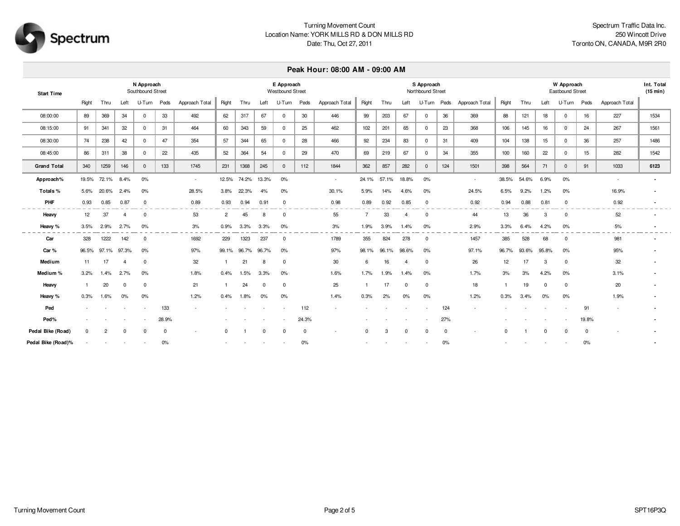

# Turning Movement Count Location Name: YORK MILLS RD & DON MILLS RD Date: Thu, Oct 27, 2011

### **Peak Hour: 08:00 AM - 09:00 AM**

| <b>Start Time</b>  |          |       |       | N Approach<br>Southbound Street |          |                |                |       |       | E Approach<br>Westbound Street |          |                |          | S Approach<br>Northbound Street |          |              |     |                |       |       |          | W Approach<br>Eastbound Street |       |                |      |  |  |
|--------------------|----------|-------|-------|---------------------------------|----------|----------------|----------------|-------|-------|--------------------------------|----------|----------------|----------|---------------------------------|----------|--------------|-----|----------------|-------|-------|----------|--------------------------------|-------|----------------|------|--|--|
|                    | Right    | Thru  | Left  | U-Turn Peds                     |          | Approach Total | Right          | Thru  | Left  | U-Turn Peds                    |          | Approach Total | Right    | Thru                            | Left     | U-Turn Peds  |     | Approach Total | Right | Thru  | Left     | U-Turn Peds                    |       | Approach Total |      |  |  |
| 08:00:00           | 89       | 369   | 34    | $\overline{0}$                  | 33       | 492            | 62             | 317   | 67    | $\overline{0}$                 | 30       | 446            | 99       | 203                             | 67       | $\mathbf 0$  | 36  | 369            | 88    | 121   | 18       | $\mathbf{0}$                   | 16    | 227            | 1534 |  |  |
| 08:15:00           | 91       | 341   | 32    | $\mathbf{0}$                    | 31       | 464            | 60             | 343   | 59    | $\mathbf{0}$                   | 25       | 462            | 102      | 201                             | 65       | $\mathbf{0}$ | 23  | 368            | 106   | 145   | 16       | $^{\circ}$                     | 24    | 267            | 1561 |  |  |
| 08:30:00           | 74       | 238   | 42    | $\mathbf{0}$                    | 47       | 354            | 57             | 344   | 65    | $\overline{0}$                 | 28       | 466            | 92       | 234                             | 83       | $\mathbf 0$  | 31  | 409            | 104   | 138   | 15       | $^{\circ}$                     | 36    | 257            | 1486 |  |  |
| 08:45:00           | 86       | 311   | 38    | $\mathbf{0}$                    | 22       | 435            | 52             | 364   | 54    | $\overline{0}$                 | 29       | 470            | 69       | 219                             | 67       | $\mathbf 0$  | 34  | 355            | 100   | 160   | 22       | $\mathbf 0$                    | 15    | 282            | 1542 |  |  |
| <b>Grand Total</b> | 340      | 1259  | 146   | $\mathbf{0}$                    | 133      | 1745           | 231            | 1368  | 245   | $\mathbf{0}$                   | 112      | 1844           | 362      | 857                             | 282      | $\mathbf{0}$ | 124 | 1501           | 398   | 564   | 71       | $\mathbf{0}$                   | 91    | 1033           | 6123 |  |  |
| Approach%          | 19.5%    | 72.1% | 8.4%  | 0%                              |          | $\sim$         | 12.5%          | 74.2% | 13.3% | 0%                             |          | $\sim$         | 24.1%    | 57.1%                           | 18.8%    | 0%           |     | $\sim$         | 38.5% | 54.6% | 6.9%     | 0%                             |       |                |      |  |  |
| Totals%            | 5.6%     | 20.6% | 2.4%  | 0%                              |          | 28.5%          | 3.8%           | 22.3% | 4%    | 0%                             |          | 30.1%          | 5.9%     | 14%                             | 4.6%     | 0%           |     | 24.5%          | 6.5%  | 9.2%  | 1.2%     | 0%                             |       | 16.9%          |      |  |  |
| PHF                | 0.93     | 0.85  | 0.87  | $\mathbf 0$                     |          | 0.89           | 0.93           | 0.94  | 0.91  | $\mathbf 0$                    |          | 0.98           | 0.89     | 0.92                            | 0.85     | 0            |     | 0.92           | 0.94  | 0.88  | 0.81     | 0                              |       | 0.92           |      |  |  |
| Heavy              | 12       | 37    |       | $\overline{0}$                  |          | 53             | $\overline{2}$ | 45    | 8     | $\mathbf 0$                    |          | 55             | -7       | 33                              |          | 0            |     | 44             | 13    | 36    | 3        | 0                              |       | 52             |      |  |  |
| Heavy %            | 3.5%     | 2.9%  | 2.7%  | 0%                              |          | 3%             | 0.9%           | 3.3%  | 3.3%  | 0%                             |          | 3%             | 1.9%     | 3.9%                            | 1.4%     | 0%           |     | 2.9%           | 3.3%  | 6.4%  | 4.2%     | 0%                             |       | 5%             |      |  |  |
| Car                | 328      | 1222  | 142   | $\mathbf 0$                     |          | 1692           | 229            | 1323  | 237   | $\mathbf{0}$                   |          | 1789           | 355      | 824                             | 278      | 0            |     | 1457           | 385   | 528   | 68       | $\Omega$                       |       | 981            |      |  |  |
| Car%               | 96.5%    | 97.1% | 97.3% | 0%                              |          | 97%            | 99.1%          | 96.7% | 96.7% | 0%                             |          | 97%            | 98.1%    | 96.1%                           | 98.6%    | 0%           |     | 97.1%          | 96.7% | 93.6% | 95.8%    | 0%                             |       | 95%            |      |  |  |
| Medium             | 11       | 17    |       | $\Omega$                        |          | 32             |                | 21    |       | $\Omega$                       |          | 30             | 6        | 16                              |          | 0            |     | 26             | 12    | 17    | 3        | $\Omega$                       |       | 32             |      |  |  |
| Medium%            | 3.2%     | 1.4%  | 2.7%  | 0%                              |          | 1.8%           | 0.4%           | 1.5%  | 3.3%  | 0%                             |          | 1.6%           | 1.7%     | 1.9%                            | 1.4%     | 0%           |     | 1.7%           | 3%    | 3%    | 4.2%     | 0%                             |       | 3.1%           |      |  |  |
| Heavy              |          | 20    |       | 0                               |          | 21             |                | 24    |       | $\mathbf{0}$                   |          | 25             |          | 17                              | $\Omega$ | 0            |     | 18             |       | 19    | $\Omega$ | $\Omega$                       |       | 20             |      |  |  |
| Heavy %            | 0.3%     | 1.6%  | 0%    | 0%                              |          | 1.2%           | 0.4%           | 1.8%  | 0%    | 0%                             |          | 1.4%           | 0.3%     | 2%                              | 0%       | 0%           |     | 1.2%           | 0.3%  | 3.4%  | 0%       | 0%                             |       | 1.9%           |      |  |  |
| Ped                |          |       |       |                                 | 133      |                |                |       |       |                                | 112      |                |          |                                 |          |              | 124 |                |       |       |          |                                | 91    |                |      |  |  |
| Ped%               |          |       |       |                                 | 28.9%    |                |                |       |       |                                | 24.3%    |                |          |                                 |          |              | 27% |                |       |       |          |                                | 19.8% |                |      |  |  |
| Pedal Bike (Road)  | $\Omega$ | 2     |       |                                 | $\Omega$ |                | $\Omega$       |       |       |                                | $\Omega$ |                | $\Omega$ | 3                               | $\Omega$ | $\Omega$     |     |                |       |       | $\Omega$ | $\Omega$                       |       |                |      |  |  |
| Pedal Bike (Road)% |          |       |       |                                 | 0%       |                |                |       |       |                                | 0%       |                |          |                                 |          |              | 0%  |                |       |       |          |                                | 0%    |                |      |  |  |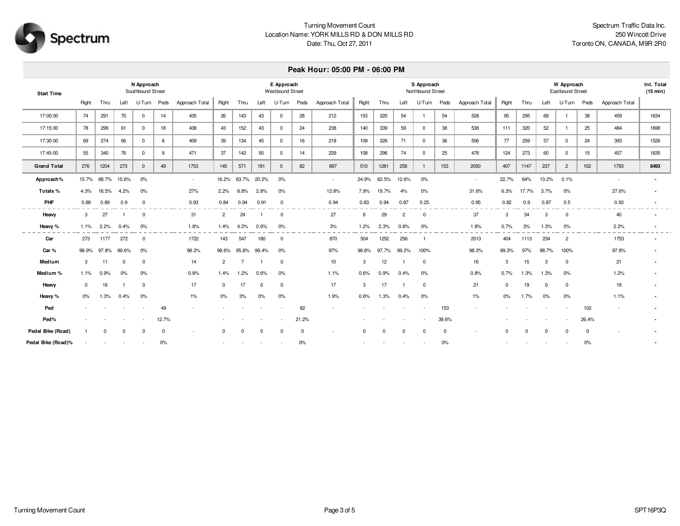

# Turning Movement Count Location Name: YORK MILLS RD & DON MILLS RD Date: Thu, Oct 27, 2011

#### **Peak Hour: 05:00 PM - 06:00 PM**

| <b>Start Time</b>  |          |       |       | N Approach<br>Southbound Street |             |                | E Approach<br>Westbound Street |          |       |              |             |                |          | S Approach<br>Northbound Street |                |                |       |                |       |          |          | W Approach<br>Eastbound Street |          |                |      |  |  |  |
|--------------------|----------|-------|-------|---------------------------------|-------------|----------------|--------------------------------|----------|-------|--------------|-------------|----------------|----------|---------------------------------|----------------|----------------|-------|----------------|-------|----------|----------|--------------------------------|----------|----------------|------|--|--|--|
|                    | Right    | Thru  | Left  | U-Turn Peds                     |             | Approach Total | Right                          | Thru     | Left  | U-Turn       | Peds        | Approach Total | Right    | Thru                            | Left           | U-Turn         | Peds  | Approach Total | Right | Thru     | Left     | U-Turn                         | Peds     | Approach Total |      |  |  |  |
| 17:00:00           | 74       | 291   | 70    | $\mathbf{0}$                    | 14          | 435            | 26                             | 143      | 43    | $\mathbf{0}$ | 28          | 212            | 153      | 320                             | 54             | $\mathbf{1}$   | 54    | 528            | 95    | 295      | 68       |                                | 38       | 459            | 1634 |  |  |  |
| 17:15:00           | 78       | 299   | 61    | $\Omega$                        | 18          | 438            | 43                             | 152      | 43    | $\mathbf{0}$ | 24          | 238            | 140      | 339                             | 59             | $^{\circ}$     | 38    | 538            | 111   | 320      | 52       |                                | 25       | 484            | 1698 |  |  |  |
| 17:30:00           | 69       | 274   | 66    | $\mathbf 0$                     | 8           | 409            | 39                             | 134      | 45    | $\mathbf{0}$ | 16          | 218            | 109      | 326                             | 71             | $\mathbf{0}$   | 36    | 506            | 77    | 259      | 57       | $\mathbf 0$                    | 24       | 393            | 1526 |  |  |  |
| 17:45:00           | 55       | 340   | 76    | $\mathsf{O}$                    | 9           | 471            | 37                             | 142      | 50    | $\mathbf{0}$ | 14          | 229            | 108      | 296                             | 74             | $\mathbf 0$    | 25    | 478            | 124   | 273      | 60       | $\mathbf{0}$                   | 15       | 457            | 1635 |  |  |  |
| <b>Grand Total</b> | 276      | 1204  | 273   | $\mathbf{0}$                    | 49          | 1753           | 145                            | 571      | 181   | $\mathbf{0}$ | 82          | 897            | 510      | 1281                            | 258            | $\overline{1}$ | 153   | 2050           | 407   | 1147     | 237      | $\overline{2}$                 | 102      | 1793           | 6493 |  |  |  |
| Approach%          | 15.7%    | 68.7% | 15.6% | 0%                              |             | $\sim$         | 16.2%                          | 63.7%    | 20.2% | $0\%$        |             | $\sim$         | 24.9%    | 62.5%                           | 12.6%          | 0%             |       | $\sim$         | 22.7% | 64%      | 13.2%    | 0.1%                           |          |                |      |  |  |  |
| Totals%            | 4.3%     | 18.5% | 4.2%  | 0%                              |             | 27%            | 2.2%                           | 8.8%     | 2.8%  | 0%           |             | 13.8%          | 7.9%     | 19.7%                           | 4%             | 0%             |       | 31.6%          | 6.3%  | 17.7%    | 3.7%     | 0%                             |          | 27.6%          |      |  |  |  |
| <b>PHF</b>         | 0.88     | 0.89  | 0.9   | $\mathbf 0$                     |             | 0.93           | 0.84                           | 0.94     | 0.91  | $^{\circ}$   |             | 0.94           | 0.83     | 0.94                            | 0.87           | 0.25           |       | 0.95           | 0.82  | 0.9      | 0.87     | 0.5                            |          | 0.93           |      |  |  |  |
| Heavy              | 3        | 27    |       | $^{\circ}$                      |             | 31             | $\overline{2}$                 | 24       |       | $^{\circ}$   |             | 27             | 6        | 29                              | $\overline{2}$ | $\mathbf 0$    |       | 37             | 3     | 34       | 3        | $^{\circ}$                     |          | 40             |      |  |  |  |
| Heavy %            | 1.1%     | 2.2%  | 0.4%  | 0%                              |             | 1.8%           | 1.4%                           | 4.2%     | 0.6%  | 0%           |             | 3%             | 1.2%     | 2.3%                            | 0.8%           | 0%             |       | 1.8%           | 0.7%  | 3%       | 1.3%     | 0%                             |          | 2.2%           |      |  |  |  |
| Car                | 273      | 1177  | 272   | $\mathbf 0$                     |             | 1722           | 143                            | 547      | 180   | $^{\circ}$   |             | 870            | 504      | 1252                            | 256            |                |       | 2013           | 404   | 1113     | 234      | $\overline{2}$                 |          | 1753           |      |  |  |  |
| Car%               | 98.9%    | 97.8% | 99.6% | 0%                              |             | 98.2%          | 98.6%                          | 95.8%    | 99.4% | 0%           |             | 97%            | 98.8%    | 97.7%                           | 99.2%          | 100%           |       | 98.2%          | 99.3% | 97%      | 98.7%    | 100%                           |          | 97.8%          |      |  |  |  |
| Medium             | 3        | 11    |       | $\Omega$                        |             | 14             | $\overline{2}$                 |          |       | $\Omega$     |             | 10             | 3        | 12                              |                | $\Omega$       |       | 16             | 3     | 15       | 3        | $\Omega$                       |          | 21             |      |  |  |  |
| Medium %           | 1.1%     | 0.9%  | 0%    | 0%                              |             | 0.8%           | 1.4%                           | 1.2%     | 0.6%  | 0%           |             | 1.1%           | 0.6%     | 0.9%                            | 0.4%           | 0%             |       | 0.8%           | 0.7%  | 1.3%     | 1.3%     | 0%                             |          | 1.2%           |      |  |  |  |
| Heavy              | $\Omega$ | 16    |       | 0                               |             | 17             |                                | 17       |       | $\mathbf 0$  |             | 17             | 3        | 17                              |                | $\mathbf 0$    |       | 21             | 0     | 19       | $\Omega$ | 0                              |          | 19             |      |  |  |  |
| Heavy %            | $0\%$    | 1.3%  | 0.4%  | 0%                              |             | $1\%$          | 0%                             | 3%       | 0%    | 0%           |             | 1.9%           | 0.6%     | 1.3%                            | 0.4%           | 0%             |       | $1\%$          | $0\%$ | 1.7%     | 0%       | 0%                             |          | 1.1%           |      |  |  |  |
| Ped                |          |       |       |                                 | 49          |                |                                |          |       |              | 82          |                |          |                                 |                |                | 153   |                |       |          |          |                                | 102      |                |      |  |  |  |
| Ped%               |          |       |       |                                 | 12.7%       |                |                                |          |       |              | 21.2%       |                |          |                                 |                |                | 39.6% |                |       |          |          |                                | 26.4%    |                |      |  |  |  |
| Pedal Bike (Road)  |          | 0     |       |                                 | $\mathbf 0$ |                |                                | $\Omega$ |       | $\Omega$     | $\mathbf 0$ |                | $\Omega$ |                                 | $\Omega$       | 0              |       |                | 0     | $\Omega$ | $\Omega$ | 0                              | $\Omega$ |                |      |  |  |  |
| Pedal Bike (Road)% |          |       |       |                                 | 0%          |                |                                |          |       |              | 0%          |                |          |                                 |                |                | 0%    |                |       |          |          |                                | 0%       |                |      |  |  |  |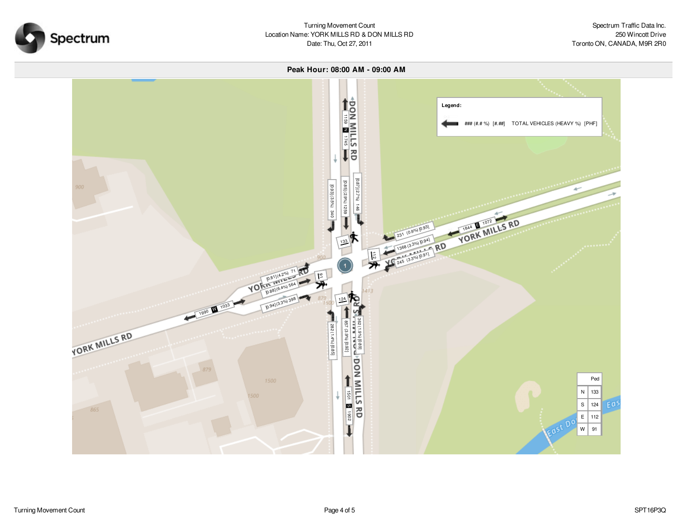